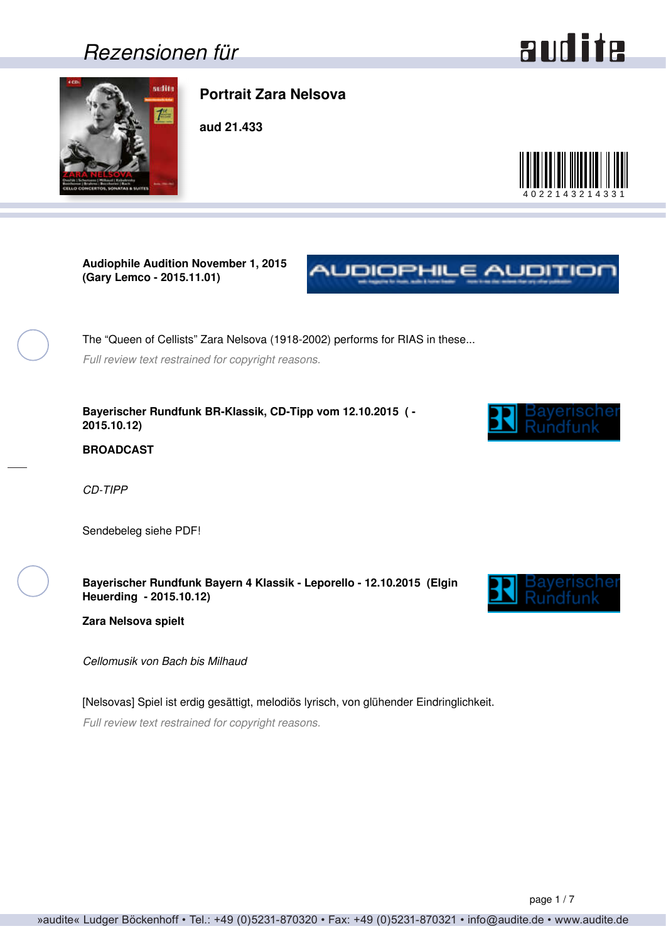### <span id="page-0-0"></span>*Rezensionen für*

# audite



### **Portrait Zara Nelsova**

**aud 21.433**



**Audiophile Audition November 1, 2015 (Gary Lemco - 2015.11.01)**

The "Queen of Cellists" Zara Nelsova (1918-2002) performs for RIAS in these... *Full review text restrained for copyright reasons.*

**Bayerischer Rundfunk BR-Klassik, CD-Tipp vom 12.10.2015 ( - 2015.10.12)**



NUDIOPHILE AUDITION

**BROADCAST**

*CD-TIPP*

Sendebeleg siehe PDF!

**Bayerischer Rundfunk Bayern 4 Klassik - Leporello - 12.10.2015 (Elgin Heuerding - 2015.10.12)**



**Zara Nelsova spielt**

*Cellomusik von Bach bis Milhaud*

[Nelsovas] Spiel ist erdig gesättigt, melodiös lyrisch, von glühender Eindringlichkeit. *Full review text restrained for copyright reasons.*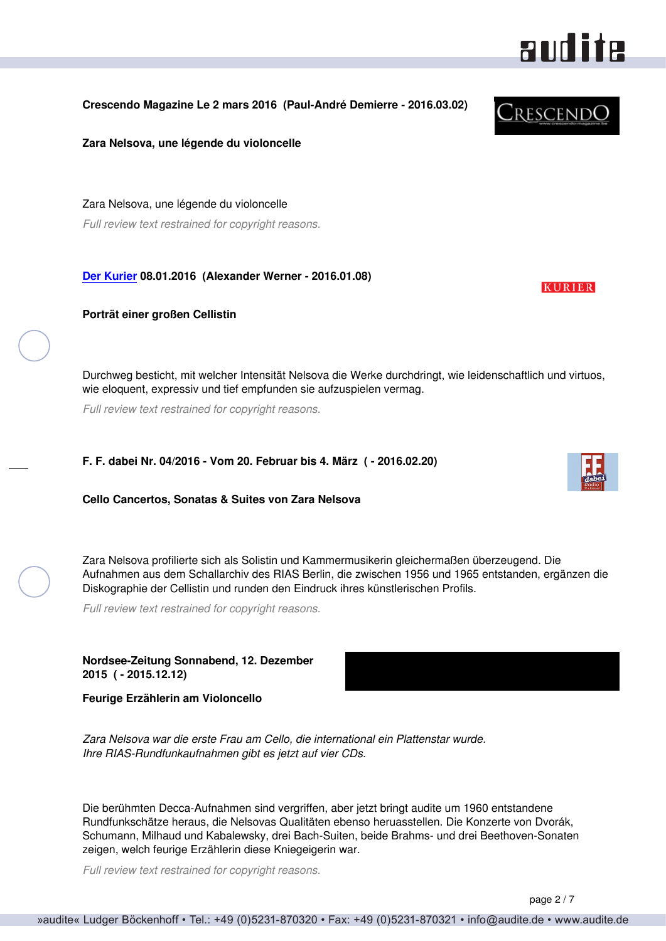#### <span id="page-1-0"></span>**Crescendo Magazine Le 2 mars 2016 (Paul-André Demierre - 2016.03.02)**

**Zara Nelsova, une légende du violoncelle**

Zara Nelsova, une légende du violoncelle *Full review text restrained for copyright reasons.*

**[Der Kurier](http://www.derkurier-swd.de) 08.01.2016 (Alexander Werner - 2016.01.08)**

**Porträt einer großen Cellistin**

Durchweg besticht, mit welcher Intensität Nelsova die Werke durchdringt, wie leidenschaftlich und virtuos, wie eloquent, expressiv und tief empfunden sie aufzuspielen vermag.

*Full review text restrained for copyright reasons.*

**F. F. dabei Nr. 04/2016 - Vom 20. Februar bis 4. März ( - 2016.02.20)**

**Cello Cancertos, Sonatas & Suites von Zara Nelsova**

Zara Nelsova profilierte sich als Solistin und Kammermusikerin gleichermaßen überzeugend. Die Aufnahmen aus dem Schallarchiv des RIAS Berlin, die zwischen 1956 und 1965 entstanden, ergänzen die Diskographie der Cellistin und runden den Eindruck ihres künstlerischen Profils.

*Full review text restrained for copyright reasons.*

**Nordsee-Zeitung Sonnabend, 12. Dezember 2015 ( - 2015.12.12)**

**Feurige Erzählerin am Violoncello**

*Ihre RIAS-Rundfunkaufnahmen gibt es jetzt auf vier CDs.*

*Zara Nelsova war die erste Frau am Cello, die international ein Plattenstar wurde.*

Die berühmten Decca-Aufnahmen sind vergriffen, aber jetzt bringt audite um 1960 entstandene Rundfunkschätze heraus, die Nelsovas Qualitäten ebenso heruasstellen. Die Konzerte von Dvorák, Schumann, Milhaud und Kabalewsky, drei Bach-Suiten, beide Brahms- und drei Beethoven-Sonaten zeigen, welch feurige Erzählerin diese Kniegeigerin war.

*Full review text restrained for copyright reasons.*





**KURIER** 

audite

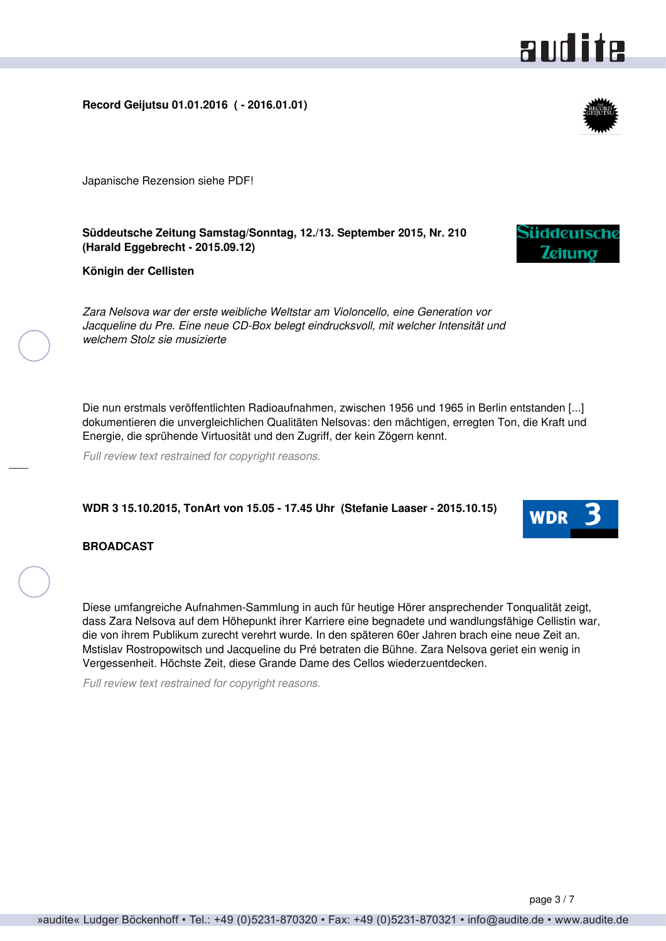### <span id="page-2-0"></span>**Record Geijutsu 01.01.2016 ( - 2016.01.01)**

Japanische Rezension siehe PDF!

**Süddeutsche Zeitung Samstag/Sonntag, 12./13. September 2015, Nr. 210 (Harald Eggebrecht - 2015.09.12)**

**Königin der Cellisten**

*Zara Nelsova war der erste weibliche Weltstar am Violoncello, eine Generation vor Jacqueline du Pre. Eine neue CD-Box belegt eindrucksvoll, mit welcher Intensität und welchem Stolz sie musizierte*

Die nun erstmals veröffentlichten Radioaufnahmen, zwischen 1956 und 1965 in Berlin entstanden [...] dokumentieren die unvergleichlichen Qualitäten Nelsovas: den mächtigen, erregten Ton, die Kraft und Energie, die sprühende Virtuosität und den Zugriff, der kein Zögern kennt.

*Full review text restrained for copyright reasons.*

#### **WDR 3 15.10.2015, TonArt von 15.05 - 17.45 Uhr (Stefanie Laaser - 2015.10.15)**

#### **BROADCAST**

Diese umfangreiche Aufnahmen-Sammlung in auch für heutige Hörer ansprechender Tonqualität zeigt, dass Zara Nelsova auf dem Höhepunkt ihrer Karriere eine begnadete und wandlungsfähige Cellistin war, die von ihrem Publikum zurecht verehrt wurde. In den späteren 60er Jahren brach eine neue Zeit an. Mstislav Rostropowitsch und Jacqueline du Pré betraten die Bühne. Zara Nelsova geriet ein wenig in Vergessenheit. Höchste Zeit, diese Grande Dame des Cellos wiederzuentdecken.

*Full review text restrained for copyright reasons.*



and ite



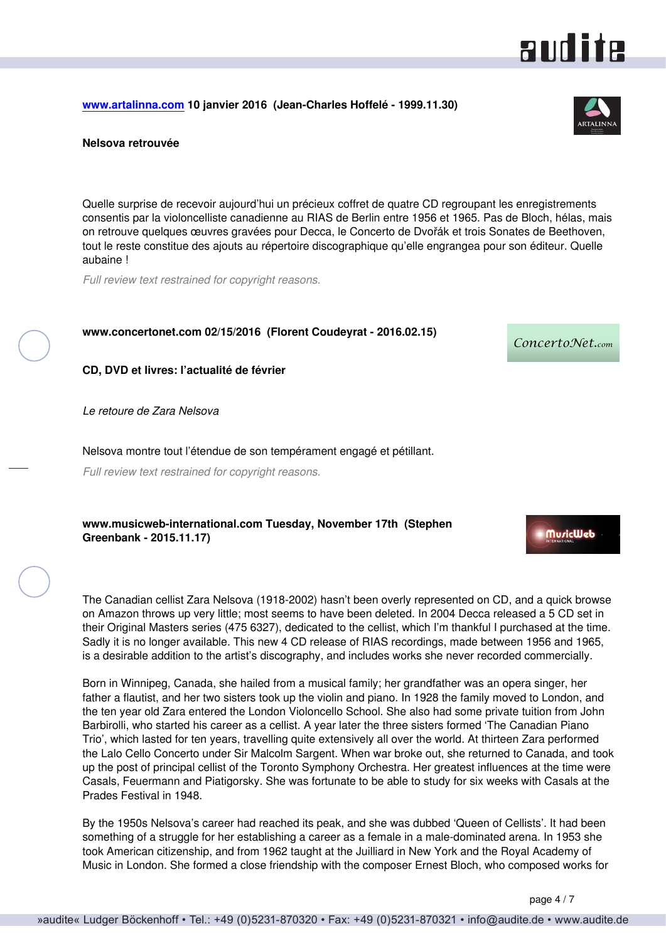<span id="page-3-0"></span>**[www.artalinna.com](http://www.artalinna.com) 10 janvier 2016 (Jean-Charles Hoffelé - 1999.11.30)**

#### **Nelsova retrouvée**

Quelle surprise de recevoir aujourd'hui un précieux coffret de quatre CD regroupant les enregistrements consentis par la violoncelliste canadienne au RIAS de Berlin entre 1956 et 1965. Pas de Bloch, hélas, mais on retrouve quelques œuvres gravées pour Decca, le Concerto de Dvořák et trois Sonates de Beethoven, tout le reste constitue des ajouts au répertoire discographique qu'elle engrangea pour son éditeur. Quelle aubaine !

*Full review text restrained for copyright reasons.*

**www.concertonet.com 02/15/2016 (Florent Coudeyrat - 2016.02.15)**

**CD, DVD et livres: l'actualité de février**

*Le retoure de Zara Nelsova*

Nelsova montre tout l'étendue de son tempérament engagé et pétillant.

*Full review text restrained for copyright reasons.*

**www.musicweb-international.com Tuesday, November 17th (Stephen Greenbank - 2015.11.17)**

The Canadian cellist Zara Nelsova (1918-2002) hasn't been overly represented on CD, and a quick browse on Amazon throws up very little; most seems to have been deleted. In 2004 Decca released a 5 CD set in their Original Masters series (475 6327), dedicated to the cellist, which I'm thankful I purchased at the time. Sadly it is no longer available. This new 4 CD release of RIAS recordings, made between 1956 and 1965, is a desirable addition to the artist's discography, and includes works she never recorded commercially.

Born in Winnipeg, Canada, she hailed from a musical family; her grandfather was an opera singer, her father a flautist, and her two sisters took up the violin and piano. In 1928 the family moved to London, and the ten year old Zara entered the London Violoncello School. She also had some private tuition from John Barbirolli, who started his career as a cellist. A year later the three sisters formed 'The Canadian Piano Trio', which lasted for ten years, travelling quite extensively all over the world. At thirteen Zara performed the Lalo Cello Concerto under Sir Malcolm Sargent. When war broke out, she returned to Canada, and took up the post of principal cellist of the Toronto Symphony Orchestra. Her greatest influences at the time were Casals, Feuermann and Piatigorsky. She was fortunate to be able to study for six weeks with Casals at the Prades Festival in 1948.

By the 1950s Nelsova's career had reached its peak, and she was dubbed 'Queen of Cellists'. It had been something of a struggle for her establishing a career as a female in a male-dominated arena. In 1953 she took American citizenship, and from 1962 taught at the Juilliard in New York and the Royal Academy of Music in London. She formed a close friendship with the composer Ernest Bloch, who composed works for



and ite

ConcertoNet.com

**MuricWeb**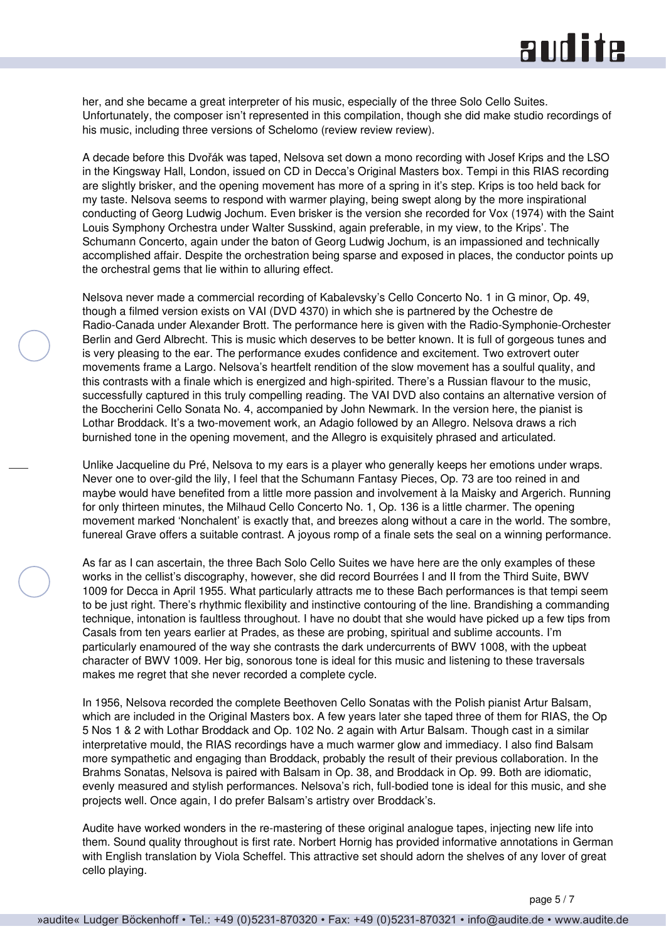# **RUD ite**

her, and she became a great interpreter of his music, especially of the three Solo Cello Suites. Unfortunately, the composer isn't represented in this compilation, though she did make studio recordings of his music, including three versions of Schelomo (review review review).

A decade before this Dvořák was taped, Nelsova set down a mono recording with Josef Krips and the LSO in the Kingsway Hall, London, issued on CD in Decca's Original Masters box. Tempi in this RIAS recording are slightly brisker, and the opening movement has more of a spring in it's step. Krips is too held back for my taste. Nelsova seems to respond with warmer playing, being swept along by the more inspirational conducting of Georg Ludwig Jochum. Even brisker is the version she recorded for Vox (1974) with the Saint Louis Symphony Orchestra under Walter Susskind, again preferable, in my view, to the Krips'. The Schumann Concerto, again under the baton of Georg Ludwig Jochum, is an impassioned and technically accomplished affair. Despite the orchestration being sparse and exposed in places, the conductor points up the orchestral gems that lie within to alluring effect.

Nelsova never made a commercial recording of Kabalevsky's Cello Concerto No. 1 in G minor, Op. 49, though a filmed version exists on VAI (DVD 4370) in which she is partnered by the Ochestre de Radio-Canada under Alexander Brott. The performance here is given with the Radio-Symphonie-Orchester Berlin and Gerd Albrecht. This is music which deserves to be better known. It is full of gorgeous tunes and is very pleasing to the ear. The performance exudes confidence and excitement. Two extrovert outer movements frame a Largo. Nelsova's heartfelt rendition of the slow movement has a soulful quality, and this contrasts with a finale which is energized and high-spirited. There's a Russian flavour to the music, successfully captured in this truly compelling reading. The VAI DVD also contains an alternative version of the Boccherini Cello Sonata No. 4, accompanied by John Newmark. In the version here, the pianist is Lothar Broddack. It's a two-movement work, an Adagio followed by an Allegro. Nelsova draws a rich burnished tone in the opening movement, and the Allegro is exquisitely phrased and articulated.

Unlike Jacqueline du Pré, Nelsova to my ears is a player who generally keeps her emotions under wraps. Never one to over-gild the lily, I feel that the Schumann Fantasy Pieces, Op. 73 are too reined in and maybe would have benefited from a little more passion and involvement à la Maisky and Argerich. Running for only thirteen minutes, the Milhaud Cello Concerto No. 1, Op. 136 is a little charmer. The opening movement marked 'Nonchalent' is exactly that, and breezes along without a care in the world. The sombre, funereal Grave offers a suitable contrast. A joyous romp of a finale sets the seal on a winning performance.

As far as I can ascertain, the three Bach Solo Cello Suites we have here are the only examples of these works in the cellist's discography, however, she did record Bourrées I and II from the Third Suite, BWV 1009 for Decca in April 1955. What particularly attracts me to these Bach performances is that tempi seem to be just right. There's rhythmic flexibility and instinctive contouring of the line. Brandishing a commanding technique, intonation is faultless throughout. I have no doubt that she would have picked up a few tips from Casals from ten years earlier at Prades, as these are probing, spiritual and sublime accounts. I'm particularly enamoured of the way she contrasts the dark undercurrents of BWV 1008, with the upbeat character of BWV 1009. Her big, sonorous tone is ideal for this music and listening to these traversals makes me regret that she never recorded a complete cycle.

In 1956, Nelsova recorded the complete Beethoven Cello Sonatas with the Polish pianist Artur Balsam, which are included in the Original Masters box. A few years later she taped three of them for RIAS, the Op 5 Nos 1 & 2 with Lothar Broddack and Op. 102 No. 2 again with Artur Balsam. Though cast in a similar interpretative mould, the RIAS recordings have a much warmer glow and immediacy. I also find Balsam more sympathetic and engaging than Broddack, probably the result of their previous collaboration. In the Brahms Sonatas, Nelsova is paired with Balsam in Op. 38, and Broddack in Op. 99. Both are idiomatic, evenly measured and stylish performances. Nelsova's rich, full-bodied tone is ideal for this music, and she projects well. Once again, I do prefer Balsam's artistry over Broddack's.

Audite have worked wonders in the re-mastering of these original analogue tapes, injecting new life into them. Sound quality throughout is first rate. Norbert Hornig has provided informative annotations in German with English translation by Viola Scheffel. This attractive set should adorn the shelves of any lover of great cello playing.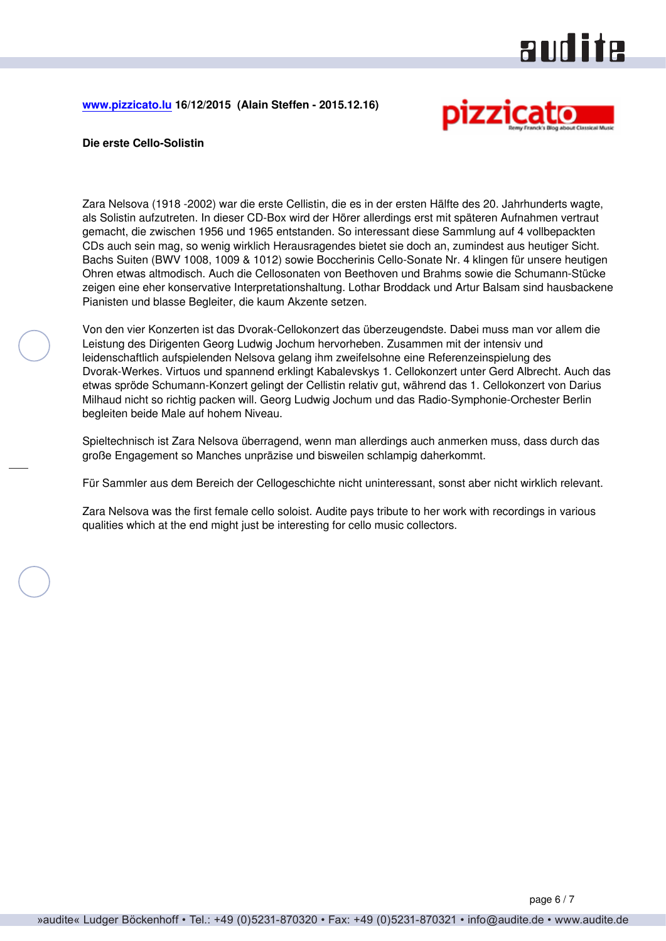# audite

<span id="page-5-0"></span>**[www.pizzicato.lu](http://www.pizzicato.lu) 16/12/2015 (Alain Steffen - 2015.12.16)**



#### **Die erste Cello-Solistin**

Zara Nelsova (1918 -2002) war die erste Cellistin, die es in der ersten Hälfte des 20. Jahrhunderts wagte, als Solistin aufzutreten. In dieser CD-Box wird der Hörer allerdings erst mit späteren Aufnahmen vertraut gemacht, die zwischen 1956 und 1965 entstanden. So interessant diese Sammlung auf 4 vollbepackten CDs auch sein mag, so wenig wirklich Herausragendes bietet sie doch an, zumindest aus heutiger Sicht. Bachs Suiten (BWV 1008, 1009 & 1012) sowie Boccherinis Cello-Sonate Nr. 4 klingen für unsere heutigen Ohren etwas altmodisch. Auch die Cellosonaten von Beethoven und Brahms sowie die Schumann-Stücke zeigen eine eher konservative Interpretationshaltung. Lothar Broddack und Artur Balsam sind hausbackene Pianisten und blasse Begleiter, die kaum Akzente setzen.

Von den vier Konzerten ist das Dvorak-Cellokonzert das überzeugendste. Dabei muss man vor allem die Leistung des Dirigenten Georg Ludwig Jochum hervorheben. Zusammen mit der intensiv und leidenschaftlich aufspielenden Nelsova gelang ihm zweifelsohne eine Referenzeinspielung des Dvorak-Werkes. Virtuos und spannend erklingt Kabalevskys 1. Cellokonzert unter Gerd Albrecht. Auch das etwas spröde Schumann-Konzert gelingt der Cellistin relativ gut, während das 1. Cellokonzert von Darius Milhaud nicht so richtig packen will. Georg Ludwig Jochum und das Radio-Symphonie-Orchester Berlin begleiten beide Male auf hohem Niveau.

Spieltechnisch ist Zara Nelsova überragend, wenn man allerdings auch anmerken muss, dass durch das große Engagement so Manches unpräzise und bisweilen schlampig daherkommt.

Für Sammler aus dem Bereich der Cellogeschichte nicht uninteressant, sonst aber nicht wirklich relevant.

Zara Nelsova was the first female cello soloist. Audite pays tribute to her work with recordings in various qualities which at the end might just be interesting for cello music collectors.